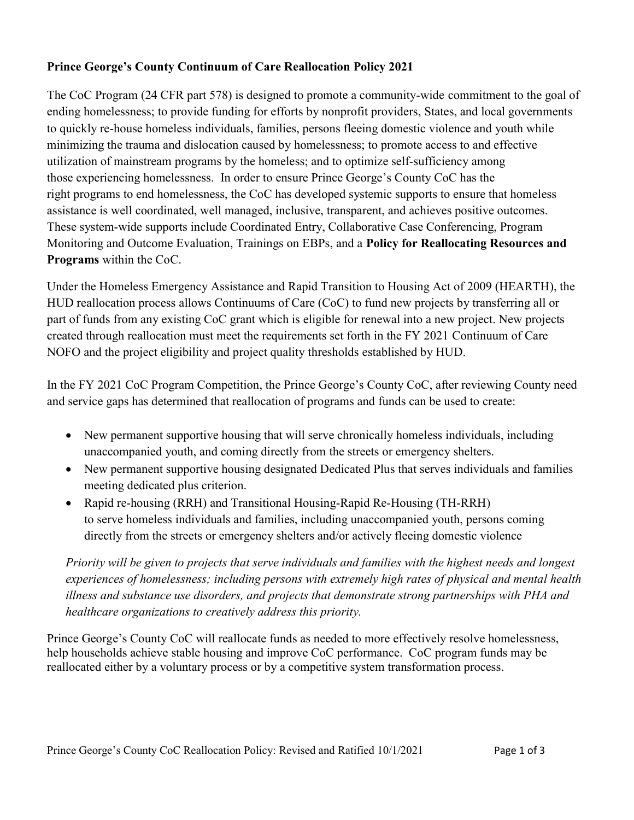## Prince George's County Continuum of Care Reallocation Policy 2021

The CoC Program (24 CFR part 578) is designed to promote a community-wide commitment to the goal of ending homelessness; to provide funding for efforts by nonprofit providers, States, and local governments to quickly re-house homeless individuals, families, persons fleeing domestic violence and youth while minimizing the trauma and dislocation caused by homelessness; to promote access to and effective utilization of mainstream programs by the homeless; and to optimize self-sufficiency among those experiencing homelessness. In order to ensure Prince George's County CoC has the right programs to end homelessness, the CoC has developed systemic supports to ensure that homeless assistance is well coordinated, well managed, inclusive, transparent, and achieves positive outcomes. These system-wide supports include Coordinated Entry, Collaborative Case Conferencing, Program Monitoring and Outcome Evaluation, Trainings on EBPs, and a Policy for Reallocating Resources and Programs within the CoC.

Under the Homeless Emergency Assistance and Rapid Transition to Housing Act of 2009 (HEARTH), the HUD reallocation process allows Continuums of Care (CoC) to fund new projects by transferring all or part of funds from any existing CoC grant which is eligible for renewal into a new project. New projects created through reallocation must meet the requirements set forth in the FY 2021 Continuum of Care NOFO and the project eligibility and project quality thresholds established by HUD.

In the FY 2021 CoC Program Competition, the Prince George's County CoC, after reviewing County need and service gaps has determined that reallocation of programs and funds can be used to create:

- New permanent supportive housing that will serve chronically homeless individuals, including unaccompanied youth, and coming directly from the streets or emergency shelters.
- New permanent supportive housing designated Dedicated Plus that serves individuals and families meeting dedicated plus criterion.
- Rapid re-housing (RRH) and Transitional Housing-Rapid Re-Housing (TH-RRH) to serve homeless individuals and families, including unaccompanied youth, persons coming directly from the streets or emergency shelters and/or actively fleeing domestic violence

Priority will be given to projects that serve individuals and families with the highest needs and longest experiences of homelessness; including persons with extremely high rates of physical and mental health illness and substance use disorders, and projects that demonstrate strong partnerships with PHA and healthcare organizations to creatively address this priority.

Prince George's County CoC will reallocate funds as needed to more effectively resolve homelessness, help households achieve stable housing and improve CoC performance. CoC program funds may be reallocated either by a voluntary process or by a competitive system transformation process.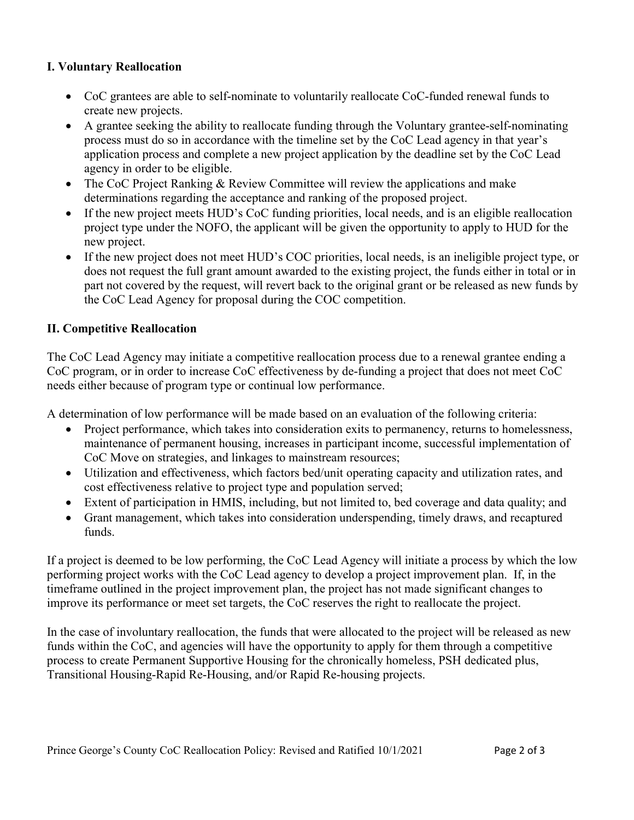## I. Voluntary Reallocation

- CoC grantees are able to self-nominate to voluntarily reallocate CoC-funded renewal funds to create new projects.
- A grantee seeking the ability to reallocate funding through the Voluntary grantee-self-nominating process must do so in accordance with the timeline set by the CoC Lead agency in that year's application process and complete a new project application by the deadline set by the CoC Lead agency in order to be eligible.
- The CoC Project Ranking & Review Committee will review the applications and make determinations regarding the acceptance and ranking of the proposed project.
- If the new project meets HUD's CoC funding priorities, local needs, and is an eligible reallocation project type under the NOFO, the applicant will be given the opportunity to apply to HUD for the new project.
- If the new project does not meet HUD's COC priorities, local needs, is an ineligible project type, or does not request the full grant amount awarded to the existing project, the funds either in total or in part not covered by the request, will revert back to the original grant or be released as new funds by the CoC Lead Agency for proposal during the COC competition.

## II. Competitive Reallocation

The CoC Lead Agency may initiate a competitive reallocation process due to a renewal grantee ending a CoC program, or in order to increase CoC effectiveness by de-funding a project that does not meet CoC needs either because of program type or continual low performance.

A determination of low performance will be made based on an evaluation of the following criteria:

- Project performance, which takes into consideration exits to permanency, returns to homelessness, maintenance of permanent housing, increases in participant income, successful implementation of CoC Move on strategies, and linkages to mainstream resources;
- Utilization and effectiveness, which factors bed/unit operating capacity and utilization rates, and cost effectiveness relative to project type and population served;
- Extent of participation in HMIS, including, but not limited to, bed coverage and data quality; and
- Grant management, which takes into consideration underspending, timely draws, and recaptured funds.

If a project is deemed to be low performing, the CoC Lead Agency will initiate a process by which the low performing project works with the CoC Lead agency to develop a project improvement plan. If, in the timeframe outlined in the project improvement plan, the project has not made significant changes to improve its performance or meet set targets, the CoC reserves the right to reallocate the project.

In the case of involuntary reallocation, the funds that were allocated to the project will be released as new funds within the CoC, and agencies will have the opportunity to apply for them through a competitive process to create Permanent Supportive Housing for the chronically homeless, PSH dedicated plus, Transitional Housing-Rapid Re-Housing, and/or Rapid Re-housing projects.